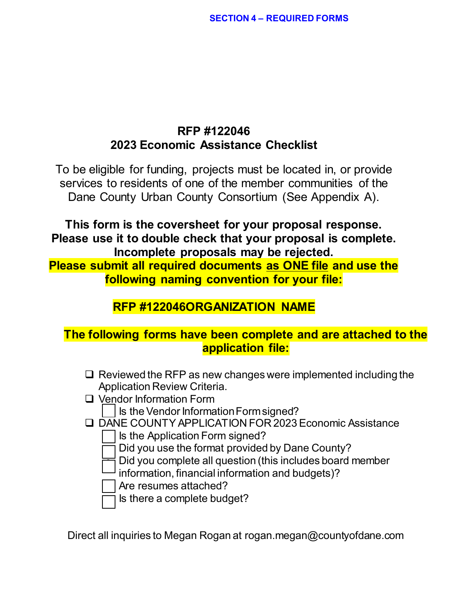# **RFP #122046 2023 Economic Assistance Checklist**

To be eligible for funding, projects must be located in, or provide services to residents of one of the member communities of the Dane County Urban County Consortium (See Appendix A).

**This form is the coversheet for your proposal response. Please use it to double check that your proposal is complete. Incomplete proposals may be rejected.**

**Please submit all required documents as ONE file and use the following naming convention for your file:**

# **RFP #122046ORGANIZATION NAME**

# **The following forms have been complete and are attached to the application file:**

- $\Box$  Reviewed the RFP as new changes were implemented including the Application Review Criteria.
- □ Vendor Information Form
	- $\vert$  Is the Vendor Information Form signed?
- DANE COUNTY APPLICATION FOR 2023 Economic Assistance
	- Is the Application Form signed?
	- Did you use the format provided by Dane County?
	- Did you complete all question (this includes board member
	- information, financial information and budgets)?
	- Are resumes attached?
	- Is there a complete budget?

Direct all inquiries to Megan Rogan at rogan.megan@countyofdane.com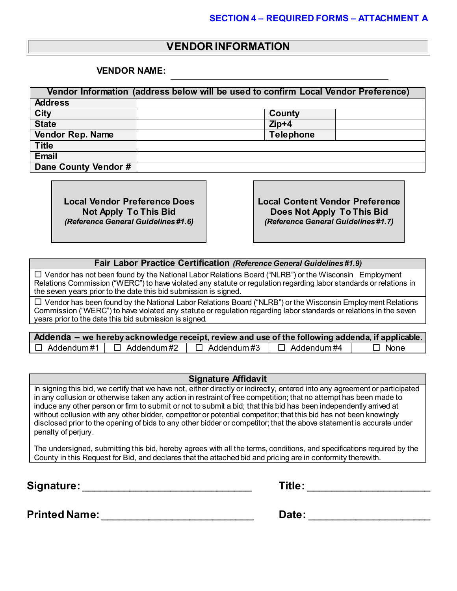### **VENDOR INFORMATION**

#### **VENDOR NAME:**

| Vendor Information (address below will be used to confirm Local Vendor Preference) |                  |  |  |  |  |  |
|------------------------------------------------------------------------------------|------------------|--|--|--|--|--|
| <b>Address</b>                                                                     |                  |  |  |  |  |  |
| <b>City</b>                                                                        | County           |  |  |  |  |  |
| <b>State</b>                                                                       | $Zip+4$          |  |  |  |  |  |
| Vendor Rep. Name                                                                   | <b>Telephone</b> |  |  |  |  |  |
| <b>Title</b>                                                                       |                  |  |  |  |  |  |
| <b>Email</b>                                                                       |                  |  |  |  |  |  |
| Dane County Vendor #                                                               |                  |  |  |  |  |  |

**Local Vendor Preference Does Not Apply To This Bid** *(Reference General Guidelines #1.6)*

**Local Content Vendor Preference Does Not Apply To This Bid** *(Reference General Guidelines #1.7)*

**Fair Labor Practice Certification** *(Reference General Guidelines #1.9)*

 $\Box$  Vendor has not been found by the National Labor Relations Board ("NLRB") or the Wisconsin Employment Relations Commission ("WERC") to have violated any statute or regulation regarding labor standards or relations in the seven years prior to the date this bid submission is signed.

 $\Box$  Vendor has been found by the National Labor Relations Board ("NLRB") or the Wisconsin Employment Relations Commission ("WERC") to have violated any statute or regulation regarding labor standards or relations in the seven years prior to the date this bid submission is signed.

|                                     | Addenda – we hereby acknowledge receipt, review and use of the following addenda, if applicable. |             |
|-------------------------------------|--------------------------------------------------------------------------------------------------|-------------|
| $\Box$ Addendum#1 $\Box$ Addendum#2 | $\Box$ Addendum#3 $\Box$ Addendum#4                                                              | $\Box$ None |

#### **Signature Affidavit**

In signing this bid, we certify that we have not, either directly or indirectly, entered into any agreement or participated in any collusion or otherwise taken any action in restraint of free competition; that no attempt has been made to induce any other person or firm to submit or not to submit a bid; that this bid has been independently arrived at without collusion with any other bidder, competitor or potential competitor; that this bid has not been knowingly disclosed prior to the opening of bids to any other bidder or competitor; that the above statement is accurate under penalty of perjury.

The undersigned, submitting this bid, hereby agrees with all the terms, conditions, and specifications required by the County in this Request for Bid, and declares that the attached bid and pricing are in conformity therewith.

**Signature:** \_\_\_\_\_\_\_\_\_\_\_\_\_\_\_\_\_\_\_\_\_\_\_\_\_\_\_\_\_ **Title:** \_\_\_\_\_\_\_\_\_\_\_\_\_\_\_\_\_\_\_\_\_

|  | Γitle |  |
|--|-------|--|
|  |       |  |

**Printed Name:** \_\_\_\_\_\_\_\_\_\_\_\_\_\_\_\_\_\_\_\_\_\_\_\_\_\_ **Date:** \_\_\_\_\_\_\_\_\_\_\_\_\_\_\_\_\_\_\_\_\_

| Date: |  |  |
|-------|--|--|
|       |  |  |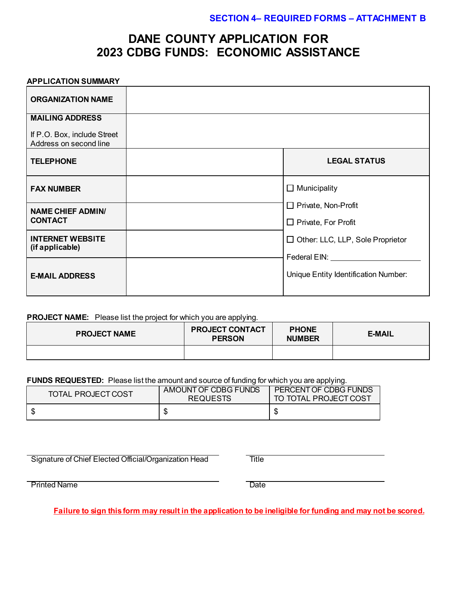## **DANE COUNTY APPLICATION FOR 2023 CDBG FUNDS: ECONOMIC ASSISTANCE**

#### **APPLICATION SUMMARY**

| <b>ORGANIZATION NAME</b>                              |                                         |
|-------------------------------------------------------|-----------------------------------------|
| <b>MAILING ADDRESS</b>                                |                                         |
| If P.O. Box, include Street<br>Address on second line |                                         |
| <b>TELEPHONE</b>                                      | <b>LEGAL STATUS</b>                     |
| <b>FAX NUMBER</b>                                     | $\Box$ Municipality                     |
| <b>NAME CHIEF ADMIN/</b>                              | $\Box$ Private, Non-Profit              |
| <b>CONTACT</b>                                        | $\Box$ Private, For Profit              |
| <b>INTERNET WEBSITE</b><br>(if applicable)            | $\Box$ Other: LLC, LLP, Sole Proprietor |
|                                                       | Federal EIN: Value                      |
| <b>E-MAIL ADDRESS</b>                                 | Unique Entity Identification Number:    |

**PROJECT NAME:** Please list the project for which you are applying.

| <b>PROJECT NAME</b> | <b>PROJECT CONTACT</b><br><b>PERSON</b> | <b>PHONE</b><br><b>NUMBER</b> | <b>E-MAIL</b> |
|---------------------|-----------------------------------------|-------------------------------|---------------|
|                     |                                         |                               |               |

**FUNDS REQUESTED:** Please list the amount and source of funding for which you are applying.

| TOTAL PROJECT COST | AMOUNT OF CDBG FUNDS<br><b>REQUESTS</b> | PERCENT OF CDBG FUNDS<br>TO TOTAL PROJECT COST |  |  |
|--------------------|-----------------------------------------|------------------------------------------------|--|--|
|                    |                                         | AD.                                            |  |  |

Signature of Chief Elected Official/Organization Head Title

Printed Name Date

**Failure to sign this form may result in the application to be ineligible for funding and may not be scored.**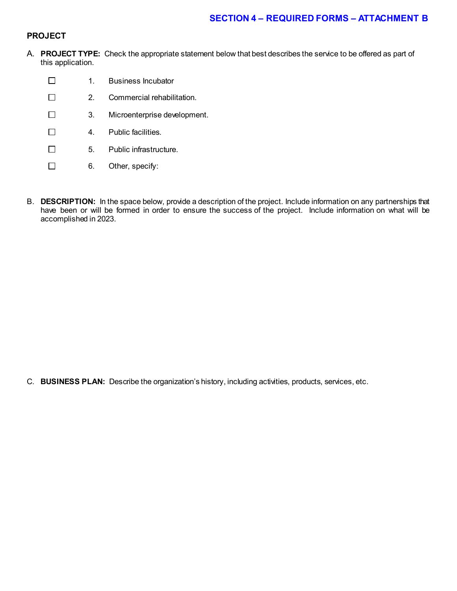#### **PROJECT**

- A. **PROJECT TYPE:** Check the appropriate statement below that best describes the service to be offered as part of this application.
	- $\Box$ 1. Business Incubator  $\Box$ 2. Commercial rehabilitation.  $\Box$ 3. Microenterprise development.  $\Box$ 4. Public facilities.  $\Box$ 5. Public infrastructure.  $\Box$ 6. Other, specify:
- B. **DESCRIPTION:** In the space below, provide a description of the project. Include information on any partnerships that have been or will be formed in order to ensure the success of the project. Include information on what will be accomplished in 2023.

C. **BUSINESS PLAN:** Describe the organization's history, including activities, products, services, etc.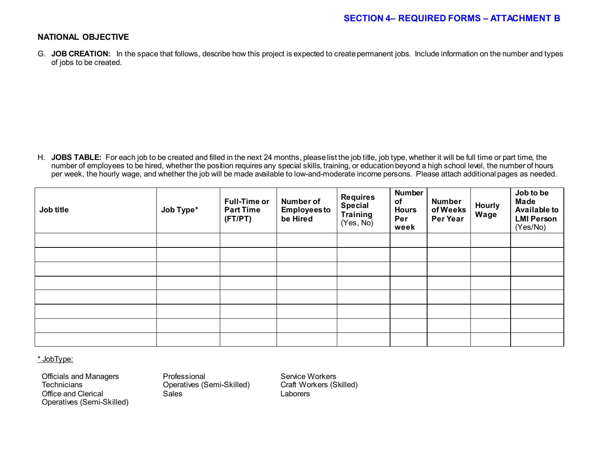#### **NATIONAL OBJECTIVE**

G. **JOB CREATION:** In the space that follows, describe how this project is expected to create permanent jobs. Include information on the number and types of jobs to be created.

H. JOBS TABLE: For each job to be created and filled in the next 24 months, please list the job title, job type, whether it will be full time or part time, the number of employees to be hired, whether the position requires any special skills, training, or education beyond a high school level, the number of hours per week, the hourly wage, and whether the job will be made available to low-and-moderate income persons. Please attach additional pages as needed.

| Job title | Job Type* | <b>Full-Time or</b><br><b>Part Time</b><br>(FT/PT) | Number of<br><b>Employees to</b><br>be Hired | <b>Requires</b><br><b>Special</b><br><b>Training</b><br>(Yes, No) | <b>Number</b><br>of<br><b>Hours</b><br>Per<br>week | <b>Number</b><br>of Weeks<br>Per Year | <b>Hourly</b><br>Wage | Job to be<br><b>Made</b><br><b>Available to</b><br><b>LMI Person</b><br>(Yes/No) |
|-----------|-----------|----------------------------------------------------|----------------------------------------------|-------------------------------------------------------------------|----------------------------------------------------|---------------------------------------|-----------------------|----------------------------------------------------------------------------------|
|           |           |                                                    |                                              |                                                                   |                                                    |                                       |                       |                                                                                  |
|           |           |                                                    |                                              |                                                                   |                                                    |                                       |                       |                                                                                  |
|           |           |                                                    |                                              |                                                                   |                                                    |                                       |                       |                                                                                  |
|           |           |                                                    |                                              |                                                                   |                                                    |                                       |                       |                                                                                  |
|           |           |                                                    |                                              |                                                                   |                                                    |                                       |                       |                                                                                  |
|           |           |                                                    |                                              |                                                                   |                                                    |                                       |                       |                                                                                  |
|           |           |                                                    |                                              |                                                                   |                                                    |                                       |                       |                                                                                  |
|           |           |                                                    |                                              |                                                                   |                                                    |                                       |                       |                                                                                  |

\* JobType:

Officials and Managers **Professional** Professional Service Workers<br>
Technicians **Professional Servits** (Semi-Skilled) Craft Workers (Skilled) Office and Clerical Operatives (Semi-Skilled)

Operatives (Semi-Skilled) Craft Workers (Semi-Skilled) Craft Workers (Sales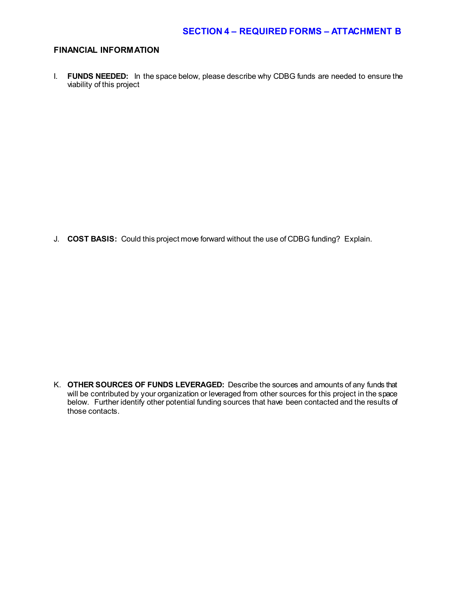#### **FINANCIAL INFORMATION**

I. **FUNDS NEEDED:** In the space below, please describe why CDBG funds are needed to ensure the viability of this project

J. **COST BASIS:** Could this project move forward without the use of CDBG funding? Explain.

K. **OTHER SOURCES OF FUNDS LEVERAGED:** Describe the sources and amounts of any funds that will be contributed by your organization or leveraged from other sources for this project in the space below. Further identify other potential funding sources that have been contacted and the results of those contacts.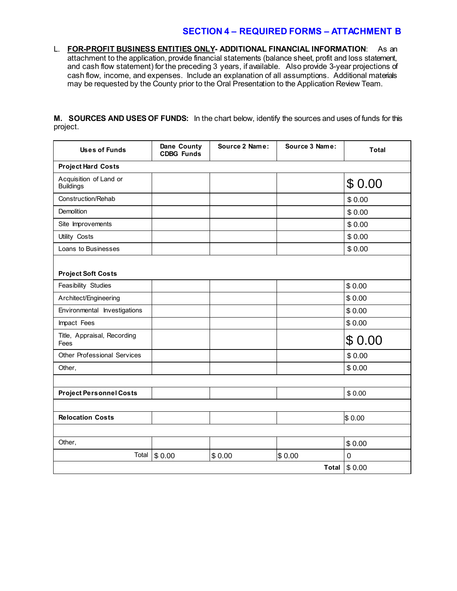L. **FOR-PROFIT BUSINESS ENTITIES ONLY- ADDITIONAL FINANCIAL INFORMATION**: As an attachment to the application, provide financial statements (balance sheet, profit and loss statement, and cash flow statement) for the preceding 3 years, if available. Also provide 3-year projections of cash flow, income, and expenses. Include an explanation of all assumptions. Additional materials may be requested by the County prior to the Oral Presentation to the Application Review Team.

**M. SOURCES AND USES OF FUNDS:** In the chart below, identify the sources and uses of funds for this project.

| <b>Uses of Funds</b>                       | Dane County<br><b>CDBG Funds</b> | Source 2 Name: | Source 3 Name: | <b>Total</b> |
|--------------------------------------------|----------------------------------|----------------|----------------|--------------|
| <b>Project Hard Costs</b>                  |                                  |                |                |              |
| Acquisition of Land or<br><b>Buildings</b> |                                  |                |                | \$0.00       |
| Construction/Rehab                         |                                  |                |                | \$0.00       |
| Demolition                                 |                                  |                |                | \$0.00       |
| Site Improvements                          |                                  |                |                | \$0.00       |
| Utility Costs                              |                                  |                |                | \$0.00       |
| Loans to Businesses                        |                                  |                |                | \$0.00       |
| <b>Project Soft Costs</b>                  |                                  |                |                |              |
| Feasibility Studies                        |                                  |                |                | \$0.00       |
| Architect/Engineering                      |                                  |                |                | \$0.00       |
| Environmental Investigations               |                                  |                |                | \$0.00       |
| Impact Fees                                |                                  |                |                | \$0.00       |
| Title, Appraisal, Recording<br>Fees        |                                  |                |                | \$0.00       |
| <b>Other Professional Services</b>         |                                  |                |                | \$0.00       |
| Other,                                     |                                  |                |                | \$0.00       |
|                                            |                                  |                |                |              |
| <b>Project Personnel Costs</b>             |                                  |                |                | \$0.00       |
|                                            |                                  |                |                |              |
| <b>Relocation Costs</b>                    |                                  |                |                | \$0.00       |
|                                            |                                  |                |                |              |
| Other,                                     |                                  |                |                | \$0.00       |
| Total                                      | \$0.00                           | \$0.00         | \$0.00         | $\pmb{0}$    |
|                                            |                                  |                | <b>Total</b>   | \$0.00       |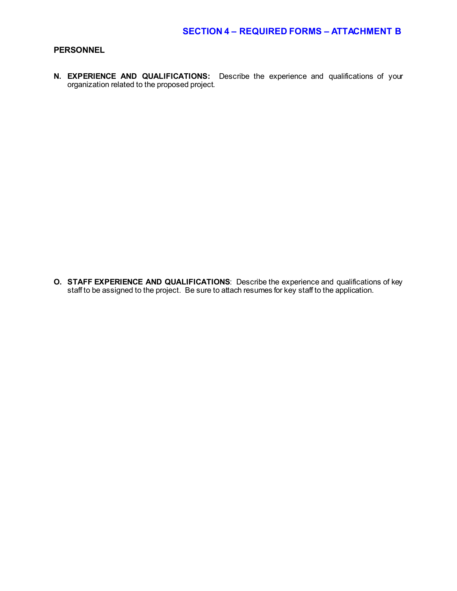#### **PERSONNEL**

**N. EXPERIENCE AND QUALIFICATIONS:** Describe the experience and qualifications of your organization related to the proposed project.

**O. STAFF EXPERIENCE AND QUALIFICATIONS**: Describe the experience and qualifications of key staff to be assigned to the project. Be sure to attach resumes for key staff to the application.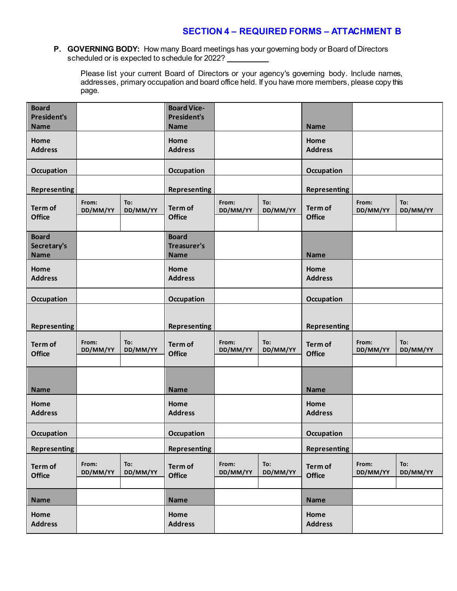#### **P. GOVERNING BODY:** How many Board meetings has your governing body or Board of Directors scheduled or is expected to schedule for 2022?

Please list your current Board of Directors or your agency's governing body. Include names, addresses, primary occupation and board office held. If you have more members, please copy this page.

| <b>Board</b><br><b>President's</b><br><b>Name</b> |                   |                 | <b>Board Vice-</b><br><b>President's</b><br><b>Name</b> |                   |                 | <b>Name</b>              |                   |                 |
|---------------------------------------------------|-------------------|-----------------|---------------------------------------------------------|-------------------|-----------------|--------------------------|-------------------|-----------------|
| Home<br><b>Address</b>                            |                   |                 | Home<br><b>Address</b>                                  |                   |                 | Home<br><b>Address</b>   |                   |                 |
| Occupation                                        |                   |                 | <b>Occupation</b>                                       |                   |                 | Occupation               |                   |                 |
| <b>Representing</b>                               |                   |                 | <b>Representing</b>                                     |                   |                 | <b>Representing</b>      |                   |                 |
| Term of<br><b>Office</b>                          | From:<br>DD/MM/YY | To:<br>DD/MM/YY | Term of<br><b>Office</b>                                | From:<br>DD/MM/YY | To:<br>DD/MM/YY | Term of<br><b>Office</b> | From:<br>DD/MM/YY | To:<br>DD/MM/YY |
| <b>Board</b>                                      |                   |                 | <b>Board</b>                                            |                   |                 |                          |                   |                 |
| Secretary's<br><b>Name</b>                        |                   |                 | <b>Treasurer's</b><br><b>Name</b>                       |                   |                 | <b>Name</b>              |                   |                 |
| Home<br><b>Address</b>                            |                   |                 | Home<br><b>Address</b>                                  |                   |                 | Home<br><b>Address</b>   |                   |                 |
| <b>Occupation</b>                                 |                   |                 | <b>Occupation</b>                                       |                   |                 | Occupation               |                   |                 |
| <b>Representing</b>                               |                   |                 | <b>Representing</b>                                     |                   |                 | <b>Representing</b>      |                   |                 |
| Term of<br><b>Office</b>                          | From:<br>DD/MM/YY | To:<br>DD/MM/YY | Term of<br><b>Office</b>                                | From:<br>DD/MM/YY | To:<br>DD/MM/YY | Term of<br><b>Office</b> | From:<br>DD/MM/YY | To:<br>DD/MM/YY |
|                                                   |                   |                 |                                                         |                   |                 |                          |                   |                 |
| <b>Name</b>                                       |                   |                 | <b>Name</b>                                             |                   |                 | <b>Name</b>              |                   |                 |
| Home<br><b>Address</b>                            |                   |                 | Home<br><b>Address</b>                                  |                   |                 | Home<br><b>Address</b>   |                   |                 |
| <b>Occupation</b>                                 |                   |                 | <b>Occupation</b>                                       |                   |                 | Occupation               |                   |                 |
| <b>Representing</b>                               |                   |                 | <b>Representing</b>                                     |                   |                 | <b>Representing</b>      |                   |                 |
| Term of<br><b>Office</b>                          | From:<br>DD/MM/YY | To:<br>DD/MM/YY | Term of<br><b>Office</b>                                | From:<br>DD/MM/YY | To:<br>DD/MM/YY | Term of<br><b>Office</b> | From:<br>DD/MM/YY | To:<br>DD/MM/YY |
|                                                   |                   |                 |                                                         |                   |                 | <b>Name</b>              |                   |                 |
| Name<br>Home                                      |                   |                 | <b>Name</b><br>Home                                     |                   |                 | Home                     |                   |                 |
| <b>Address</b>                                    |                   |                 | <b>Address</b>                                          |                   |                 | <b>Address</b>           |                   |                 |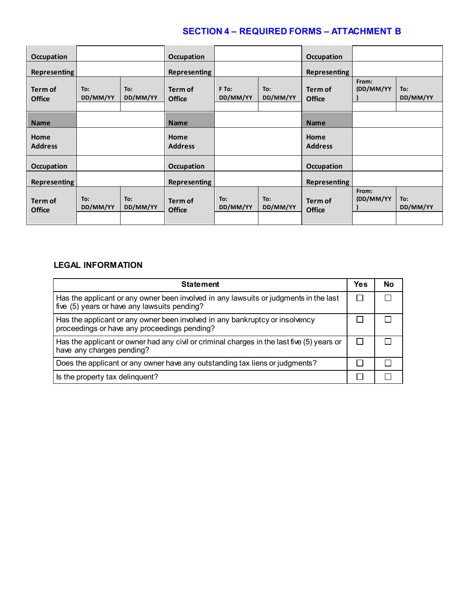| Occupation               |                 |                 | <b>Occupation</b>        |                   |                 | <b>Occupation</b>        |                    |                 |
|--------------------------|-----------------|-----------------|--------------------------|-------------------|-----------------|--------------------------|--------------------|-----------------|
| <b>Representing</b>      |                 |                 | <b>Representing</b>      |                   |                 | Representing             |                    |                 |
| Term of<br><b>Office</b> | To:<br>DD/MM/YY | To:<br>DD/MM/YY | Term of<br><b>Office</b> | F To:<br>DD/MM/YY | To:<br>DD/MM/YY | Term of<br><b>Office</b> | From:<br>(DD/MM/YY | To:<br>DD/MM/YY |
| <b>Name</b>              |                 |                 | <b>Name</b>              |                   |                 | <b>Name</b>              |                    |                 |
| Home<br><b>Address</b>   |                 |                 | Home<br><b>Address</b>   |                   |                 | Home<br><b>Address</b>   |                    |                 |
| <b>Occupation</b>        |                 |                 | <b>Occupation</b>        |                   |                 | <b>Occupation</b>        |                    |                 |
| <b>Representing</b>      |                 |                 | <b>Representing</b>      |                   |                 | <b>Representing</b>      |                    |                 |
| Term of<br><b>Office</b> | To:<br>DD/MM/YY | To:<br>DD/MM/YY | Term of<br><b>Office</b> | To:<br>DD/MM/YY   | To:<br>DD/MM/YY | Term of<br><b>Office</b> | From:<br>(DD/MM/YY | To:<br>DD/MM/YY |

### **LEGAL INFORMATION**

| <b>Statement</b>                                                                                                                      | Yes | Nο |
|---------------------------------------------------------------------------------------------------------------------------------------|-----|----|
| Has the applicant or any owner been involved in any lawsuits or judgments in the last<br>five (5) years or have any lawsuits pending? |     |    |
| Has the applicant or any owner been involved in any bankruptcy or insolvency<br>proceedings or have any proceedings pending?          |     |    |
| Has the applicant or owner had any civil or criminal charges in the last five (5) years or<br>have any charges pending?               |     |    |
| Does the applicant or any owner have any outstanding tax liens or judgments?                                                          |     |    |
| Is the property tax delinquent?                                                                                                       |     |    |